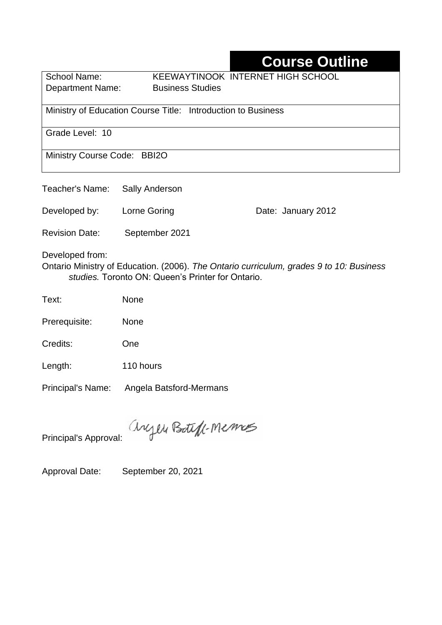# **Course Outline**

School Name: KEEWAYTINOOK INTERNET HIGH SCHOOL Department Name:Business Studies

Ministry of Education Course Title:Introduction to Business

Grade Level: 10

Ministry Course Code: BBI2O

| Teacher's Name: Sally Anderson |                |                    |
|--------------------------------|----------------|--------------------|
| Developed by:                  | Lorne Goring   | Date: January 2012 |
| <b>Revision Date:</b>          | September 2021 |                    |
| Developed from:                |                |                    |

Ontario Ministry of Education. (2006). *The Ontario curriculum, grades 9 to 10: Business studies.* Toronto ON: Queen's Printer for Ontario.

Text: None

Prerequisite: None

Credits: One

Length: 110 hours

Principal's Name: Angela Batsford-Mermans

anyen Boteff-Memos

Principal's Approval:

Approval Date: September 20, 2021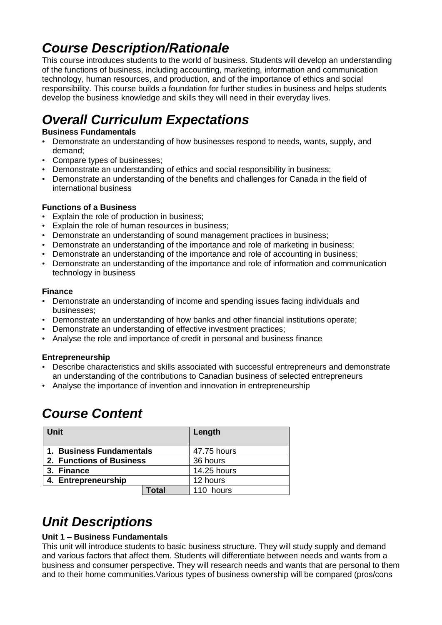# *Course Description/Rationale*

This course introduces students to the world of business. Students will develop an understanding of the functions of business, including accounting, marketing, information and communication technology, human resources, and production, and of the importance of ethics and social responsibility. This course builds a foundation for further studies in business and helps students develop the business knowledge and skills they will need in their everyday lives.

# *Overall Curriculum Expectations*

#### **Business Fundamentals**

- Demonstrate an understanding of how businesses respond to needs, wants, supply, and demand;
- Compare types of businesses;
- Demonstrate an understanding of ethics and social responsibility in business;
- Demonstrate an understanding of the benefits and challenges for Canada in the field of international business

#### **Functions of a Business**

- Explain the role of production in business;
- Explain the role of human resources in business;
- Demonstrate an understanding of sound management practices in business;
- Demonstrate an understanding of the importance and role of marketing in business;
- Demonstrate an understanding of the importance and role of accounting in business;
- Demonstrate an understanding of the importance and role of information and communication technology in business

#### **Finance**

- Demonstrate an understanding of income and spending issues facing individuals and businesses;
- Demonstrate an understanding of how banks and other financial institutions operate;
- Demonstrate an understanding of effective investment practices;
- Analyse the role and importance of credit in personal and business finance

#### **Entrepreneurship**

- Describe characteristics and skills associated with successful entrepreneurs and demonstrate an understanding of the contributions to Canadian business of selected entrepreneurs
- Analyse the importance of invention and innovation in entrepreneurship

## *Course Content*

| Unit                     | Length      |
|--------------------------|-------------|
| 1. Business Fundamentals | 47.75 hours |
| 2. Functions of Business | 36 hours    |
| 3. Finance               | 14.25 hours |
| 4. Entrepreneurship      | 12 hours    |
| <b>Total</b>             | 110 hours   |

# *Unit Descriptions*

#### **Unit 1 – Business Fundamentals**

This unit will introduce students to basic business structure. They will study supply and demand and various factors that affect them. Students will differentiate between needs and wants from a business and consumer perspective. They will research needs and wants that are personal to them and to their home communities.Various types of business ownership will be compared (pros/cons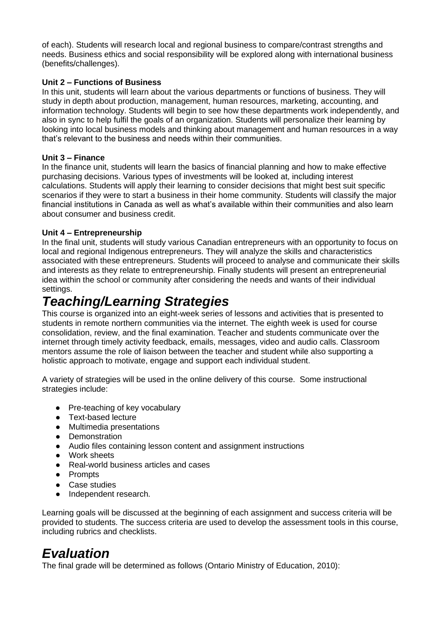of each). Students will research local and regional business to compare/contrast strengths and needs. Business ethics and social responsibility will be explored along with international business (benefits/challenges).

#### **Unit 2 – Functions of Business**

In this unit, students will learn about the various departments or functions of business. They will study in depth about production, management, human resources, marketing, accounting, and information technology. Students will begin to see how these departments work independently, and also in sync to help fulfil the goals of an organization. Students will personalize their learning by looking into local business models and thinking about management and human resources in a way that's relevant to the business and needs within their communities.

#### **Unit 3 – Finance**

In the finance unit, students will learn the basics of financial planning and how to make effective purchasing decisions. Various types of investments will be looked at, including interest calculations. Students will apply their learning to consider decisions that might best suit specific scenarios if they were to start a business in their home community. Students will classify the major financial institutions in Canada as well as what's available within their communities and also learn about consumer and business credit.

#### **Unit 4 – Entrepreneurship**

In the final unit, students will study various Canadian entrepreneurs with an opportunity to focus on local and regional Indigenous entrepreneurs. They will analyze the skills and characteristics associated with these entrepreneurs. Students will proceed to analyse and communicate their skills and interests as they relate to entrepreneurship. Finally students will present an entrepreneurial idea within the school or community after considering the needs and wants of their individual settings.

### *Teaching/Learning Strategies*

This course is organized into an eight-week series of lessons and activities that is presented to students in remote northern communities via the internet. The eighth week is used for course consolidation, review, and the final examination. Teacher and students communicate over the internet through timely activity feedback, emails, messages, video and audio calls. Classroom mentors assume the role of liaison between the teacher and student while also supporting a holistic approach to motivate, engage and support each individual student.

A variety of strategies will be used in the online delivery of this course. Some instructional strategies include:

- Pre-teaching of key vocabulary
- Text-based lecture
- Multimedia presentations
- Demonstration
- Audio files containing lesson content and assignment instructions
- Work sheets
- Real-world business articles and cases
- Prompts
- Case studies
- Independent research.

Learning goals will be discussed at the beginning of each assignment and success criteria will be provided to students. The success criteria are used to develop the assessment tools in this course, including rubrics and checklists.

### *Evaluation*

The final grade will be determined as follows (Ontario Ministry of Education, 2010):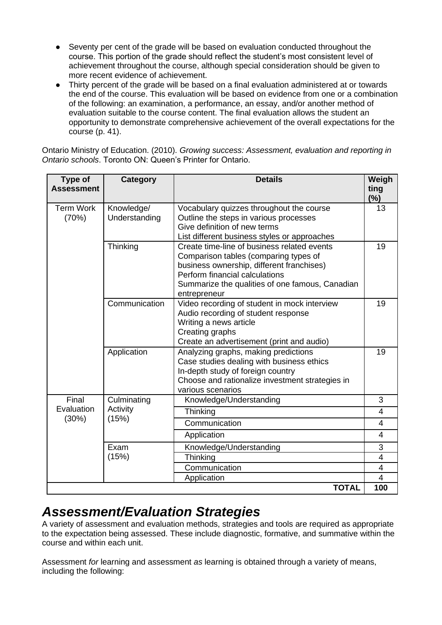- Seventy per cent of the grade will be based on evaluation conducted throughout the course. This portion of the grade should reflect the student's most consistent level of achievement throughout the course, although special consideration should be given to more recent evidence of achievement.
- Thirty percent of the grade will be based on a final evaluation administered at or towards the end of the course. This evaluation will be based on evidence from one or a combination of the following: an examination, a performance, an essay, and/or another method of evaluation suitable to the course content. The final evaluation allows the student an opportunity to demonstrate comprehensive achievement of the overall expectations for the course (p. 41).

Ontario Ministry of Education. (2010). *Growing success: Assessment, evaluation and reporting in Ontario schools*. Toronto ON: Queen's Printer for Ontario.

| Type of<br><b>Assessment</b> | Category                         | <b>Details</b>                                                                                                                                                                                                                         | Weigh<br>ting<br>(%) |
|------------------------------|----------------------------------|----------------------------------------------------------------------------------------------------------------------------------------------------------------------------------------------------------------------------------------|----------------------|
| <b>Term Work</b><br>(70%)    | Knowledge/<br>Understanding      | Vocabulary quizzes throughout the course<br>Outline the steps in various processes<br>Give definition of new terms<br>List different business styles or approaches                                                                     | 13                   |
|                              | Thinking                         | Create time-line of business related events<br>Comparison tables (comparing types of<br>business ownership, different franchises)<br>Perform financial calculations<br>Summarize the qualities of one famous, Canadian<br>entrepreneur | 19                   |
|                              | Communication                    | Video recording of student in mock interview<br>Audio recording of student response<br>Writing a news article<br>Creating graphs<br>Create an advertisement (print and audio)                                                          | 19                   |
|                              | Application                      | Analyzing graphs, making predictions<br>Case studies dealing with business ethics<br>In-depth study of foreign country<br>Choose and rationalize investment strategies in<br>various scenarios                                         | 19                   |
| Final<br>Evaluation<br>(30%) | Culminating<br>Activity<br>(15%) | Knowledge/Understanding                                                                                                                                                                                                                | 3                    |
|                              |                                  | Thinking                                                                                                                                                                                                                               | 4                    |
|                              |                                  | Communication                                                                                                                                                                                                                          | $\overline{4}$       |
|                              |                                  | Application                                                                                                                                                                                                                            | 4                    |
|                              | Exam<br>(15%)                    | Knowledge/Understanding                                                                                                                                                                                                                | 3                    |
|                              |                                  | Thinking                                                                                                                                                                                                                               | 4                    |
|                              |                                  | Communication                                                                                                                                                                                                                          | $\overline{4}$<br>4  |
| Application<br><b>TOTAL</b>  |                                  |                                                                                                                                                                                                                                        |                      |
|                              |                                  |                                                                                                                                                                                                                                        | 100                  |

### *Assessment/Evaluation Strategies*

A variety of assessment and evaluation methods, strategies and tools are required as appropriate to the expectation being assessed. These include diagnostic, formative, and summative within the course and within each unit.

Assessment *for* learning and assessment *as* learning is obtained through a variety of means, including the following: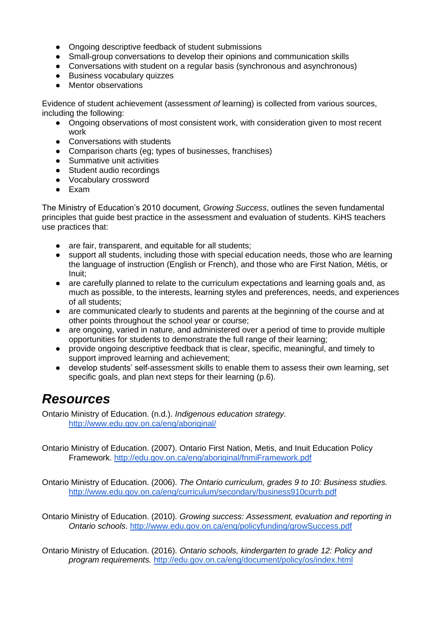- Ongoing descriptive feedback of student submissions
- Small-group conversations to develop their opinions and communication skills
- Conversations with student on a regular basis (synchronous and asynchronous)
- Business vocabulary quizzes
- Mentor observations

Evidence of student achievement (assessment *of* learning) is collected from various sources, including the following:

- Ongoing observations of most consistent work, with consideration given to most recent work
- Conversations with students
- Comparison charts (eg; types of businesses, franchises)
- Summative unit activities
- Student audio recordings
- Vocabulary crossword
- Exam

The Ministry of Education's 2010 document, *Growing Success*, outlines the seven fundamental principles that guide best practice in the assessment and evaluation of students. KiHS teachers use practices that:

- are fair, transparent, and equitable for all students:
- support all students, including those with special education needs, those who are learning the language of instruction (English or French), and those who are First Nation, Métis, or Inuit;
- are carefully planned to relate to the curriculum expectations and learning goals and, as much as possible, to the interests, learning styles and preferences, needs, and experiences of all students;
- are communicated clearly to students and parents at the beginning of the course and at other points throughout the school year or course;
- are ongoing, varied in nature, and administered over a period of time to provide multiple opportunities for students to demonstrate the full range of their learning;
- provide ongoing descriptive feedback that is clear, specific, meaningful, and timely to support improved learning and achievement;
- develop students' self-assessment skills to enable them to assess their own learning, set specific goals, and plan next steps for their learning (p.6).

## *Resources*

Ontario Ministry of Education. (n.d.). *Indigenous education strategy.* <http://www.edu.gov.on.ca/eng/aboriginal/>

Ontario Ministry of Education. (2007). Ontario First Nation, Metis, and Inuit Education Policy Framework.<http://edu.gov.on.ca/eng/aboriginal/fnmiFramework.pdf>

Ontario Ministry of Education. (2006). *The Ontario curriculum, grades 9 to 10: Business studies.*  <http://www.edu.gov.on.ca/eng/curriculum/secondary/business910currb.pdf>

Ontario Ministry of Education. (2010). *Growing success: Assessment, evaluation and reporting in Ontario schools*.<http://www.edu.gov.on.ca/eng/policyfunding/growSuccess.pdf>

Ontario Ministry of Education. (2016). *Ontario schools, kindergarten to grade 12: Policy and program requirements.* <http://edu.gov.on.ca/eng/document/policy/os/index.html>